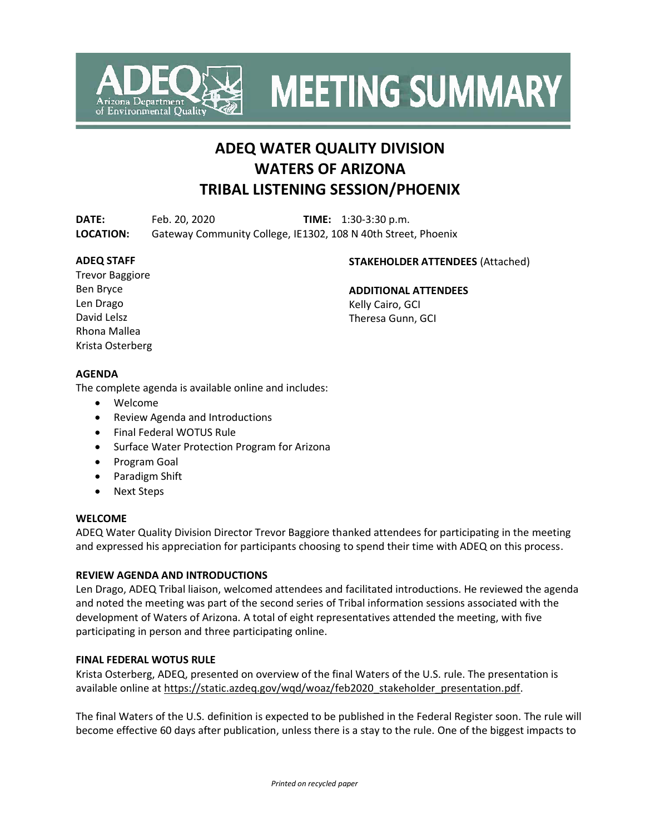

**MEETING SUMMARY** 

# **ADEQ WATER QUALITY DIVISION WATERS OF ARIZONA TRIBAL LISTENING SESSION/PHOENIX**

**DATE:** Feb. 20, 2020 **TIME:** 1:30-3:30 p.m. **LOCATION:** Gateway Community College, IE1302, 108 N 40th Street, Phoenix

#### **ADEQ STAFF**

#### **STAKEHOLDER ATTENDEES** (Attached)

Trevor Baggiore Ben Bryce Len Drago David Lelsz Rhona Mallea Krista Osterberg

**ADDITIONAL ATTENDEES** Kelly Cairo, GCI Theresa Gunn, GCI

## **AGENDA**

The complete agenda is available online and includes:

- Welcome
- Review Agenda and Introductions
- Final Federal WOTUS Rule
- Surface Water Protection Program for Arizona
- Program Goal
- Paradigm Shift
- Next Steps

#### **WELCOME**

ADEQ Water Quality Division Director Trevor Baggiore thanked attendees for participating in the meeting and expressed his appreciation for participants choosing to spend their time with ADEQ on this process.

#### **REVIEW AGENDA AND INTRODUCTIONS**

Len Drago, ADEQ Tribal liaison, welcomed attendees and facilitated introductions. He reviewed the agenda and noted the meeting was part of the second series of Tribal information sessions associated with the development of Waters of Arizona. A total of eight representatives attended the meeting, with five participating in person and three participating online.

## **FINAL FEDERAL WOTUS RULE**

Krista Osterberg, ADEQ, presented on overview of the final Waters of the U.S. rule. The presentation is available online at [https://static.azdeq.gov/wqd/woaz/feb2020\\_stakeholder\\_presentation.pdf.](https://static.azdeq.gov/wqd/woaz/feb2020_stakeholder_presentation.pdf)

The final Waters of the U.S. definition is expected to be published in the Federal Register soon. The rule will become effective 60 days after publication, unless there is a stay to the rule. One of the biggest impacts to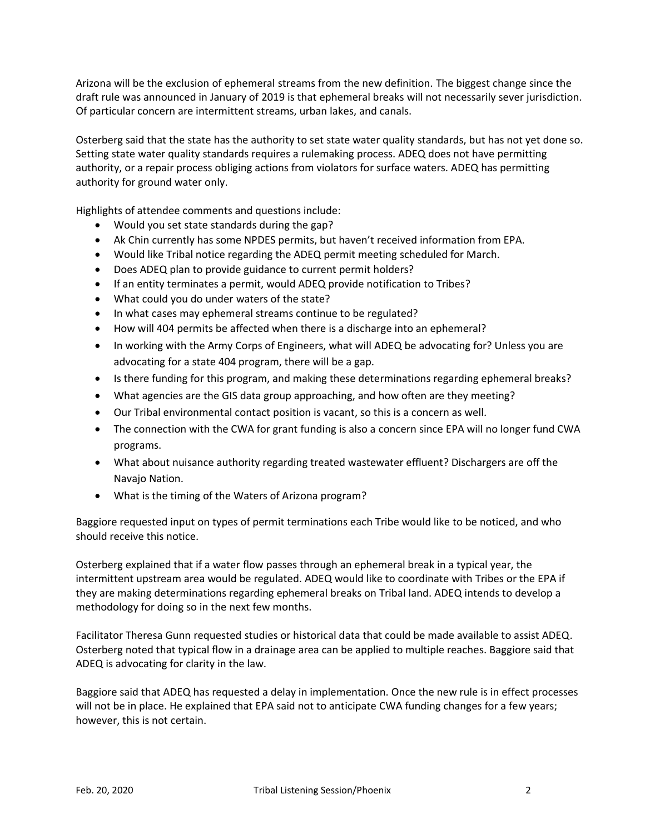Arizona will be the exclusion of ephemeral streams from the new definition. The biggest change since the draft rule was announced in January of 2019 is that ephemeral breaks will not necessarily sever jurisdiction. Of particular concern are intermittent streams, urban lakes, and canals.

Osterberg said that the state has the authority to set state water quality standards, but has not yet done so. Setting state water quality standards requires a rulemaking process. ADEQ does not have permitting authority, or a repair process obliging actions from violators for surface waters. ADEQ has permitting authority for ground water only.

Highlights of attendee comments and questions include:

- Would you set state standards during the gap?
- Ak Chin currently has some NPDES permits, but haven't received information from EPA.
- Would like Tribal notice regarding the ADEQ permit meeting scheduled for March.
- Does ADEQ plan to provide guidance to current permit holders?
- If an entity terminates a permit, would ADEQ provide notification to Tribes?
- What could you do under waters of the state?
- In what cases may ephemeral streams continue to be regulated?
- How will 404 permits be affected when there is a discharge into an ephemeral?
- In working with the Army Corps of Engineers, what will ADEQ be advocating for? Unless you are advocating for a state 404 program, there will be a gap.
- Is there funding for this program, and making these determinations regarding ephemeral breaks?
- What agencies are the GIS data group approaching, and how often are they meeting?
- Our Tribal environmental contact position is vacant, so this is a concern as well.
- The connection with the CWA for grant funding is also a concern since EPA will no longer fund CWA programs.
- What about nuisance authority regarding treated wastewater effluent? Dischargers are off the Navajo Nation.
- What is the timing of the Waters of Arizona program?

Baggiore requested input on types of permit terminations each Tribe would like to be noticed, and who should receive this notice.

Osterberg explained that if a water flow passes through an ephemeral break in a typical year, the intermittent upstream area would be regulated. ADEQ would like to coordinate with Tribes or the EPA if they are making determinations regarding ephemeral breaks on Tribal land. ADEQ intends to develop a methodology for doing so in the next few months.

Facilitator Theresa Gunn requested studies or historical data that could be made available to assist ADEQ. Osterberg noted that typical flow in a drainage area can be applied to multiple reaches. Baggiore said that ADEQ is advocating for clarity in the law.

Baggiore said that ADEQ has requested a delay in implementation. Once the new rule is in effect processes will not be in place. He explained that EPA said not to anticipate CWA funding changes for a few years; however, this is not certain.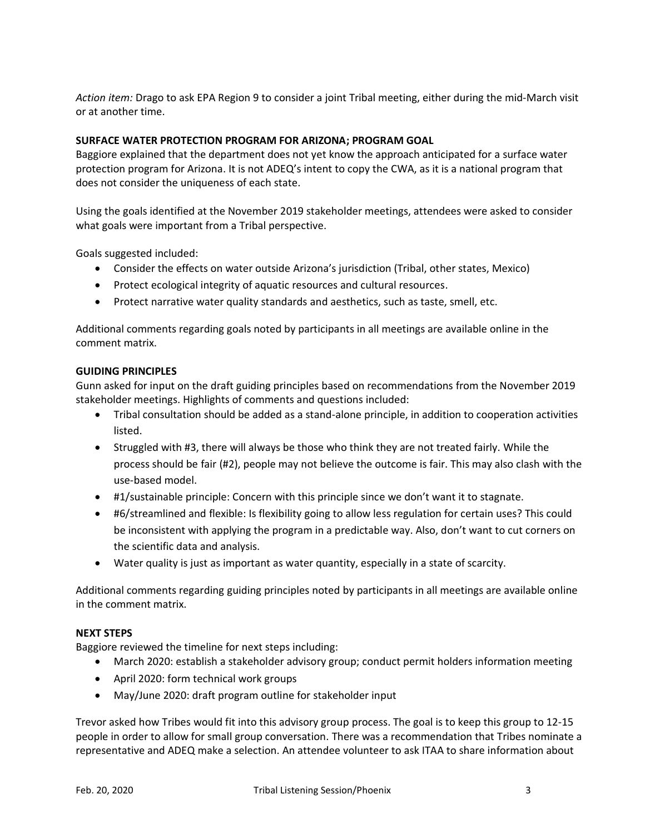*Action item:* Drago to ask EPA Region 9 to consider a joint Tribal meeting, either during the mid-March visit or at another time.

#### **SURFACE WATER PROTECTION PROGRAM FOR ARIZONA; PROGRAM GOAL**

Baggiore explained that the department does not yet know the approach anticipated for a surface water protection program for Arizona. It is not ADEQ's intent to copy the CWA, as it is a national program that does not consider the uniqueness of each state.

Using the goals identified at the November 2019 stakeholder meetings, attendees were asked to consider what goals were important from a Tribal perspective.

Goals suggested included:

- Consider the effects on water outside Arizona's jurisdiction (Tribal, other states, Mexico)
- Protect ecological integrity of aquatic resources and cultural resources.
- Protect narrative water quality standards and aesthetics, such as taste, smell, etc.

Additional comments regarding goals noted by participants in all meetings are available online in the comment matrix.

#### **GUIDING PRINCIPLES**

Gunn asked for input on the draft guiding principles based on recommendations from the November 2019 stakeholder meetings. Highlights of comments and questions included:

- Tribal consultation should be added as a stand-alone principle, in addition to cooperation activities listed.
- Struggled with #3, there will always be those who think they are not treated fairly. While the process should be fair (#2), people may not believe the outcome is fair. This may also clash with the use-based model.
- #1/sustainable principle: Concern with this principle since we don't want it to stagnate.
- #6/streamlined and flexible: Is flexibility going to allow less regulation for certain uses? This could be inconsistent with applying the program in a predictable way. Also, don't want to cut corners on the scientific data and analysis.
- Water quality is just as important as water quantity, especially in a state of scarcity.

Additional comments regarding guiding principles noted by participants in all meetings are available online in the comment matrix.

#### **NEXT STEPS**

Baggiore reviewed the timeline for next steps including:

- March 2020: establish a stakeholder advisory group; conduct permit holders information meeting
- April 2020: form technical work groups
- May/June 2020: draft program outline for stakeholder input

Trevor asked how Tribes would fit into this advisory group process. The goal is to keep this group to 12-15 people in order to allow for small group conversation. There was a recommendation that Tribes nominate a representative and ADEQ make a selection. An attendee volunteer to ask ITAA to share information about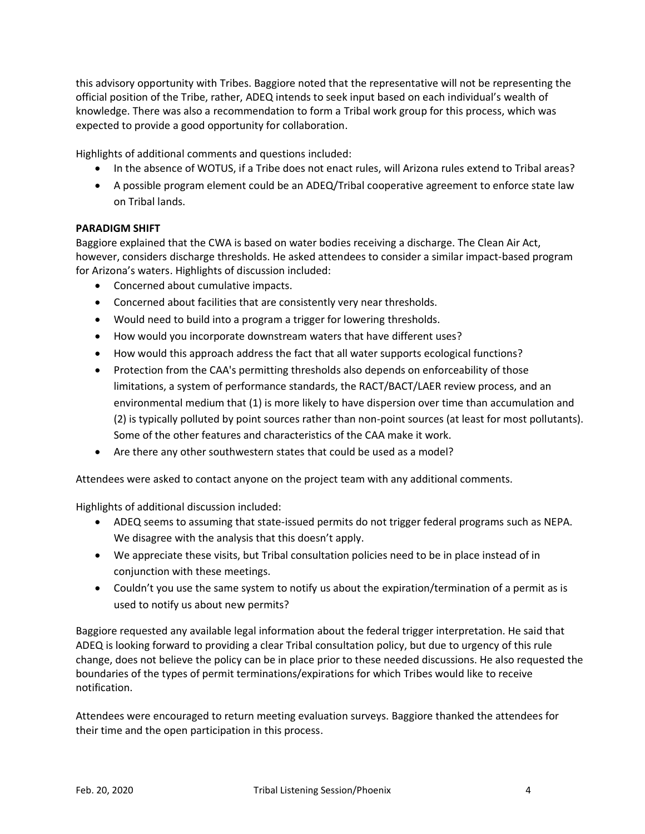this advisory opportunity with Tribes. Baggiore noted that the representative will not be representing the official position of the Tribe, rather, ADEQ intends to seek input based on each individual's wealth of knowledge. There was also a recommendation to form a Tribal work group for this process, which was expected to provide a good opportunity for collaboration.

Highlights of additional comments and questions included:

- In the absence of WOTUS, if a Tribe does not enact rules, will Arizona rules extend to Tribal areas?
- A possible program element could be an ADEQ/Tribal cooperative agreement to enforce state law on Tribal lands.

#### **PARADIGM SHIFT**

Baggiore explained that the CWA is based on water bodies receiving a discharge. The Clean Air Act, however, considers discharge thresholds. He asked attendees to consider a similar impact-based program for Arizona's waters. Highlights of discussion included:

- Concerned about cumulative impacts.
- Concerned about facilities that are consistently very near thresholds.
- Would need to build into a program a trigger for lowering thresholds.
- How would you incorporate downstream waters that have different uses?
- How would this approach address the fact that all water supports ecological functions?
- Protection from the CAA's permitting thresholds also depends on enforceability of those limitations, a system of performance standards, the RACT/BACT/LAER review process, and an environmental medium that (1) is more likely to have dispersion over time than accumulation and (2) is typically polluted by point sources rather than non-point sources (at least for most pollutants). Some of the other features and characteristics of the CAA make it work.
- Are there any other southwestern states that could be used as a model?

Attendees were asked to contact anyone on the project team with any additional comments.

Highlights of additional discussion included:

- ADEQ seems to assuming that state-issued permits do not trigger federal programs such as NEPA. We disagree with the analysis that this doesn't apply.
- We appreciate these visits, but Tribal consultation policies need to be in place instead of in conjunction with these meetings.
- Couldn't you use the same system to notify us about the expiration/termination of a permit as is used to notify us about new permits?

Baggiore requested any available legal information about the federal trigger interpretation. He said that ADEQ is looking forward to providing a clear Tribal consultation policy, but due to urgency of this rule change, does not believe the policy can be in place prior to these needed discussions. He also requested the boundaries of the types of permit terminations/expirations for which Tribes would like to receive notification.

Attendees were encouraged to return meeting evaluation surveys. Baggiore thanked the attendees for their time and the open participation in this process.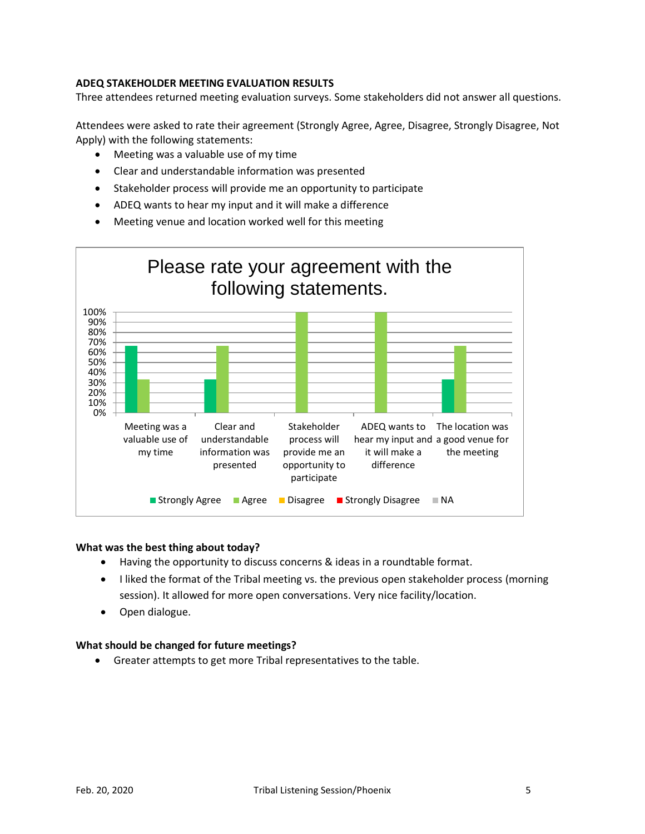#### **ADEQ STAKEHOLDER MEETING EVALUATION RESULTS**

Three attendees returned meeting evaluation surveys. Some stakeholders did not answer all questions.

Attendees were asked to rate their agreement (Strongly Agree, Agree, Disagree, Strongly Disagree, Not Apply) with the following statements:

- Meeting was a valuable use of my time
- Clear and understandable information was presented
- Stakeholder process will provide me an opportunity to participate
- ADEQ wants to hear my input and it will make a difference
- Meeting venue and location worked well for this meeting



#### **What was the best thing about today?**

- Having the opportunity to discuss concerns & ideas in a roundtable format.
- I liked the format of the Tribal meeting vs. the previous open stakeholder process (morning session). It allowed for more open conversations. Very nice facility/location.
- Open dialogue.

#### **What should be changed for future meetings?**

• Greater attempts to get more Tribal representatives to the table.